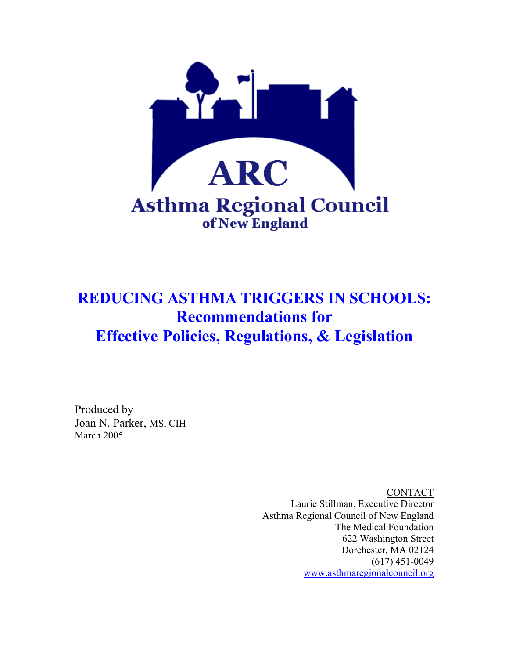

**REDUCING ASTHMA TRIGGERS IN SCHOOLS: Recommendations for Effective Policies, Regulations, & Legislation** 

Produced by Joan N. Parker, MS, CIH March 2005

> CONTACT Laurie Stillman, Executive Director Asthma Regional Council of New England The Medical Foundation 622 Washington Street Dorchester, MA 02124 (617) 451-0049 www.asthmaregionalcouncil.org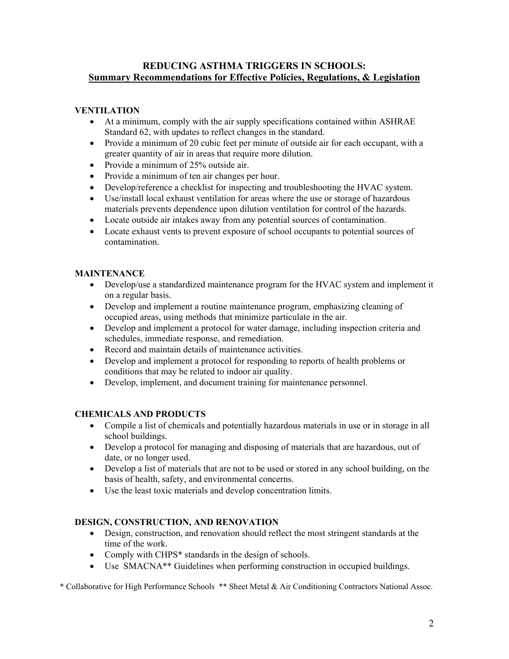#### **REDUCING ASTHMA TRIGGERS IN SCHOOLS: Summary Recommendations for Effective Policies, Regulations, & Legislation**

#### **VENTILATION**

- At a minimum, comply with the air supply specifications contained within ASHRAE Standard 62, with updates to reflect changes in the standard.
- Provide a minimum of 20 cubic feet per minute of outside air for each occupant, with a greater quantity of air in areas that require more dilution.
- Provide a minimum of 25% outside air.
- Provide a minimum of ten air changes per hour.
- Develop/reference a checklist for inspecting and troubleshooting the HVAC system.
- Use/install local exhaust ventilation for areas where the use or storage of hazardous materials prevents dependence upon dilution ventilation for control of the hazards.
- Locate outside air intakes away from any potential sources of contamination.
- Locate exhaust vents to prevent exposure of school occupants to potential sources of contamination.

#### **MAINTENANCE**

- Develop/use a standardized maintenance program for the HVAC system and implement it on a regular basis.
- Develop and implement a routine maintenance program, emphasizing cleaning of occupied areas, using methods that minimize particulate in the air.
- Develop and implement a protocol for water damage, including inspection criteria and schedules, immediate response, and remediation.
- Record and maintain details of maintenance activities.
- Develop and implement a protocol for responding to reports of health problems or conditions that may be related to indoor air quality.
- Develop, implement, and document training for maintenance personnel.

#### **CHEMICALS AND PRODUCTS**

- Compile a list of chemicals and potentially hazardous materials in use or in storage in all school buildings.
- Develop a protocol for managing and disposing of materials that are hazardous, out of date, or no longer used.
- Develop a list of materials that are not to be used or stored in any school building, on the basis of health, safety, and environmental concerns.
- Use the least toxic materials and develop concentration limits.

#### **DESIGN, CONSTRUCTION, AND RENOVATION**

- Design, construction, and renovation should reflect the most stringent standards at the time of the work.
- Comply with CHPS<sup>\*</sup> standards in the design of schools.
- Use SMACNA<sup>\*\*</sup> Guidelines when performing construction in occupied buildings.

\* Collaborative for High Performance Schools \*\* Sheet Metal & Air Conditioning Contractors National Assoc.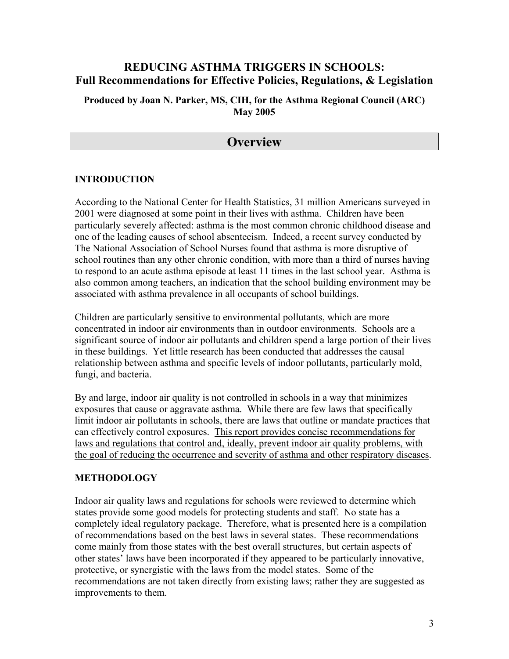# **REDUCING ASTHMA TRIGGERS IN SCHOOLS: Full Recommendations for Effective Policies, Regulations, & Legislation**

**Produced by Joan N. Parker, MS, CIH, for the Asthma Regional Council (ARC) May 2005** 

# **Overview**

#### **INTRODUCTION**

According to the National Center for Health Statistics, 31 million Americans surveyed in 2001 were diagnosed at some point in their lives with asthma. Children have been particularly severely affected: asthma is the most common chronic childhood disease and one of the leading causes of school absenteeism. Indeed, a recent survey conducted by The National Association of School Nurses found that asthma is more disruptive of school routines than any other chronic condition, with more than a third of nurses having to respond to an acute asthma episode at least 11 times in the last school year. Asthma is also common among teachers, an indication that the school building environment may be associated with asthma prevalence in all occupants of school buildings.

Children are particularly sensitive to environmental pollutants, which are more concentrated in indoor air environments than in outdoor environments. Schools are a significant source of indoor air pollutants and children spend a large portion of their lives in these buildings. Yet little research has been conducted that addresses the causal relationship between asthma and specific levels of indoor pollutants, particularly mold, fungi, and bacteria.

By and large, indoor air quality is not controlled in schools in a way that minimizes exposures that cause or aggravate asthma. While there are few laws that specifically limit indoor air pollutants in schools, there are laws that outline or mandate practices that can effectively control exposures. This report provides concise recommendations for laws and regulations that control and, ideally, prevent indoor air quality problems, with the goal of reducing the occurrence and severity of asthma and other respiratory diseases.

### **METHODOLOGY**

Indoor air quality laws and regulations for schools were reviewed to determine which states provide some good models for protecting students and staff. No state has a completely ideal regulatory package. Therefore, what is presented here is a compilation of recommendations based on the best laws in several states. These recommendations come mainly from those states with the best overall structures, but certain aspects of other states' laws have been incorporated if they appeared to be particularly innovative, protective, or synergistic with the laws from the model states. Some of the recommendations are not taken directly from existing laws; rather they are suggested as improvements to them.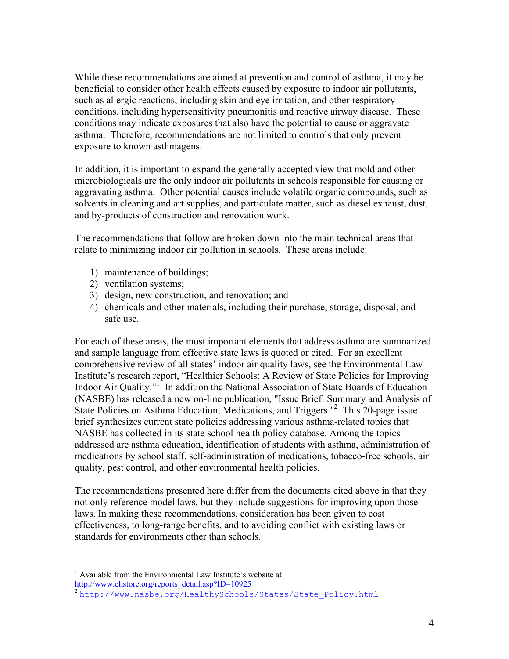While these recommendations are aimed at prevention and control of asthma, it may be beneficial to consider other health effects caused by exposure to indoor air pollutants, such as allergic reactions, including skin and eye irritation, and other respiratory conditions, including hypersensitivity pneumonitis and reactive airway disease. These conditions may indicate exposures that also have the potential to cause or aggravate asthma. Therefore, recommendations are not limited to controls that only prevent exposure to known asthmagens.

In addition, it is important to expand the generally accepted view that mold and other microbiologicals are the only indoor air pollutants in schools responsible for causing or aggravating asthma. Other potential causes include volatile organic compounds, such as solvents in cleaning and art supplies, and particulate matter, such as diesel exhaust, dust, and by-products of construction and renovation work.

The recommendations that follow are broken down into the main technical areas that relate to minimizing indoor air pollution in schools. These areas include:

- 1) maintenance of buildings;
- 2) ventilation systems;
- 3) design, new construction, and renovation; and
- 4) chemicals and other materials, including their purchase, storage, disposal, and safe use.

For each of these areas, the most important elements that address asthma are summarized and sample language from effective state laws is quoted or cited. For an excellent comprehensive review of all states' indoor air quality laws, see the Environmental Law Institute's research report, "Healthier Schools: A Review of State Policies for Improving Indoor Air Quality."<sup>1</sup> In addition the National Association of State Boards of Education (NASBE) has released a new on-line publication, "Issue Brief: Summary and Analysis of State Policies on Asthma Education, Medications, and Triggers."<sup>2</sup> This 20-page issue brief synthesizes current state policies addressing various asthma-related topics that NASBE has collected in its state school health policy database. Among the topics addressed are asthma education, identification of students with asthma, administration of medications by school staff, self-administration of medications, tobacco-free schools, air quality, pest control, and other environmental health policies.

The recommendations presented here differ from the documents cited above in that they not only reference model laws, but they include suggestions for improving upon those laws. In making these recommendations, consideration has been given to cost effectiveness, to long-range benefits, and to avoiding conflict with existing laws or standards for environments other than schools.

 $\overline{a}$ <sup>1</sup> Available from the Environmental Law Institute's website at

http://www.elistore.org/reports\_detail.asp?ID=10925<br><sup>2</sup> http://www.nasbe.org/HealthySchools/States/State\_Policy.html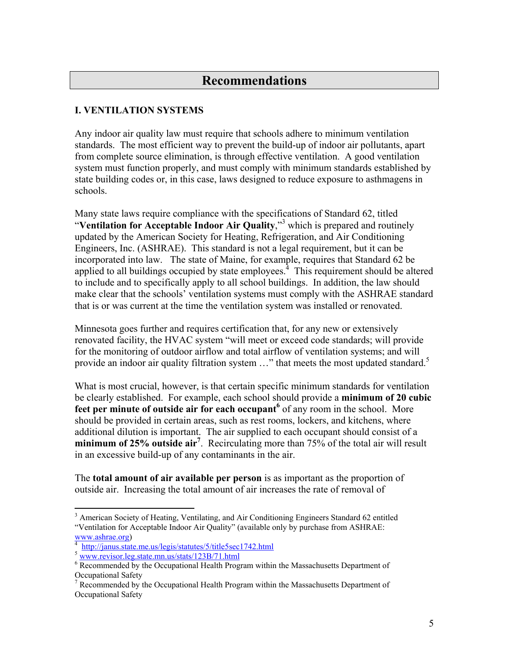# **Recommendations**

### **I. VENTILATION SYSTEMS**

Any indoor air quality law must require that schools adhere to minimum ventilation standards. The most efficient way to prevent the build-up of indoor air pollutants, apart from complete source elimination, is through effective ventilation. A good ventilation system must function properly, and must comply with minimum standards established by state building codes or, in this case, laws designed to reduce exposure to asthmagens in schools.

Many state laws require compliance with the specifications of Standard 62, titled "**Ventilation for Acceptable Indoor Air Quality**,"<sup>3</sup> which is prepared and routinely updated by the American Society for Heating, Refrigeration, and Air Conditioning Engineers, Inc. (ASHRAE). This standard is not a legal requirement, but it can be incorporated into law. The state of Maine, for example, requires that Standard 62 be applied to all buildings occupied by state employees.<sup>4</sup> This requirement should be altered to include and to specifically apply to all school buildings. In addition, the law should make clear that the schools' ventilation systems must comply with the ASHRAE standard that is or was current at the time the ventilation system was installed or renovated.

Minnesota goes further and requires certification that, for any new or extensively renovated facility, the HVAC system "will meet or exceed code standards; will provide for the monitoring of outdoor airflow and total airflow of ventilation systems; and will provide an indoor air quality filtration system ..." that meets the most updated standard.<sup>5</sup>

What is most crucial, however, is that certain specific minimum standards for ventilation be clearly established. For example, each school should provide a **minimum of 20 cubic**  feet per minute of outside air for each occupant<sup>6</sup> of any room in the school. More should be provided in certain areas, such as rest rooms, lockers, and kitchens, where additional dilution is important. The air supplied to each occupant should consist of a minimum of 25% outside air<sup>7</sup>. Recirculating more than 75% of the total air will result in an excessive build-up of any contaminants in the air.

The **total amount of air available per person** is as important as the proportion of outside air. Increasing the total amount of air increases the rate of removal of

<sup>&</sup>lt;sup>3</sup> American Society of Heating, Ventilating, and Air Conditioning Engineers Standard 62 entitled "Ventilation for Acceptable Indoor Air Quality" (available only by purchase from ASHRAE: www.ashrae.org)

http://janus.state.me.us/legis/statutes/5/title5sec1742.html<br>www.revisor.leg.state.mn.us/stats/123B/71.html

<sup>&</sup>lt;sup>6</sup> Recommended by the Occupational Health Program within the Massachusetts Department of Occupational Safety

 $7$  Recommended by the Occupational Health Program within the Massachusetts Department of Occupational Safety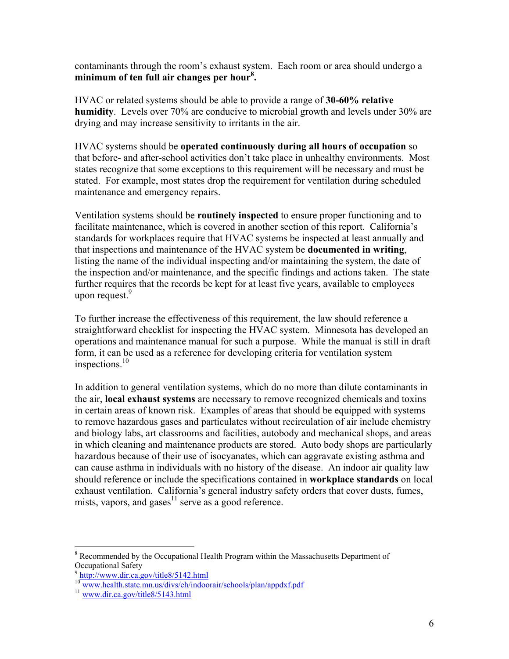contaminants through the room's exhaust system. Each room or area should undergo a **minimum of ten full air changes per hour<sup>8</sup> .** 

HVAC or related systems should be able to provide a range of **30-60% relative humidity**. Levels over 70% are conducive to microbial growth and levels under 30% are drying and may increase sensitivity to irritants in the air.

HVAC systems should be **operated continuously during all hours of occupation** so that before- and after-school activities don't take place in unhealthy environments. Most states recognize that some exceptions to this requirement will be necessary and must be stated. For example, most states drop the requirement for ventilation during scheduled maintenance and emergency repairs.

Ventilation systems should be **routinely inspected** to ensure proper functioning and to facilitate maintenance, which is covered in another section of this report. California's standards for workplaces require that HVAC systems be inspected at least annually and that inspections and maintenance of the HVAC system be **documented in writing**, listing the name of the individual inspecting and/or maintaining the system, the date of the inspection and/or maintenance, and the specific findings and actions taken. The state further requires that the records be kept for at least five years, available to employees upon request.<sup>9</sup>

To further increase the effectiveness of this requirement, the law should reference a straightforward checklist for inspecting the HVAC system. Minnesota has developed an operations and maintenance manual for such a purpose. While the manual is still in draft form, it can be used as a reference for developing criteria for ventilation system inspections.<sup>10</sup>

In addition to general ventilation systems, which do no more than dilute contaminants in the air, **local exhaust systems** are necessary to remove recognized chemicals and toxins in certain areas of known risk. Examples of areas that should be equipped with systems to remove hazardous gases and particulates without recirculation of air include chemistry and biology labs, art classrooms and facilities, autobody and mechanical shops, and areas in which cleaning and maintenance products are stored. Auto body shops are particularly hazardous because of their use of isocyanates, which can aggravate existing asthma and can cause asthma in individuals with no history of the disease. An indoor air quality law should reference or include the specifications contained in **workplace standards** on local exhaust ventilation. California's general industry safety orders that cover dusts, fumes, mists, vapors, and gases<sup>11</sup> serve as a good reference.

<sup>&</sup>lt;sup>8</sup> Recommended by the Occupational Health Program within the Massachusetts Department of Occupational Safety<br><sup>9</sup> http://www.dir.ca.gov/title8/5142.html

<sup>&</sup>lt;sup>10</sup> www.health.state.mn.us/divs/eh/indoorair/schools/plan/appdxf.pdf <sup>11</sup> www.dir.ca<u>.gov/title8/5143.html</u>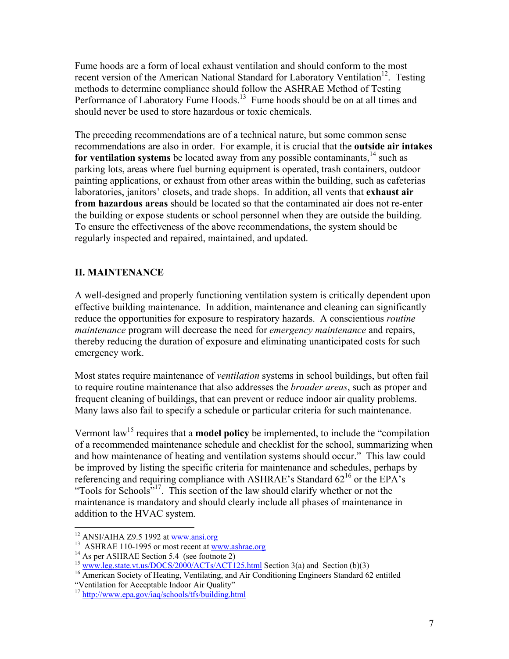Fume hoods are a form of local exhaust ventilation and should conform to the most recent version of the American National Standard for Laboratory Ventilation<sup>12</sup>. Testing methods to determine compliance should follow the ASHRAE Method of Testing Performance of Laboratory Fume Hoods.<sup>13</sup> Fume hoods should be on at all times and should never be used to store hazardous or toxic chemicals.

The preceding recommendations are of a technical nature, but some common sense recommendations are also in order. For example, it is crucial that the **outside air intakes for ventilation systems** be located away from any possible contaminants,<sup>14</sup> such as parking lots, areas where fuel burning equipment is operated, trash containers, outdoor painting applications, or exhaust from other areas within the building, such as cafeterias laboratories, janitors' closets, and trade shops. In addition, all vents that **exhaust air from hazardous areas** should be located so that the contaminated air does not re-enter the building or expose students or school personnel when they are outside the building. To ensure the effectiveness of the above recommendations, the system should be regularly inspected and repaired, maintained, and updated.

### **II. MAINTENANCE**

A well-designed and properly functioning ventilation system is critically dependent upon effective building maintenance. In addition, maintenance and cleaning can significantly reduce the opportunities for exposure to respiratory hazards. A conscientious *routine maintenance* program will decrease the need for *emergency maintenance* and repairs, thereby reducing the duration of exposure and eliminating unanticipated costs for such emergency work.

Most states require maintenance of *ventilation* systems in school buildings, but often fail to require routine maintenance that also addresses the *broader areas*, such as proper and frequent cleaning of buildings, that can prevent or reduce indoor air quality problems. Many laws also fail to specify a schedule or particular criteria for such maintenance.

Vermont law<sup>15</sup> requires that a **model policy** be implemented, to include the "compilation" of a recommended maintenance schedule and checklist for the school, summarizing when and how maintenance of heating and ventilation systems should occur." This law could be improved by listing the specific criteria for maintenance and schedules, perhaps by referencing and requiring compliance with ASHRAE's Standard  $62^{16}$  or the EPA's "Tools for Schools"<sup>17</sup>. This section of the law should clarify whether or not the maintenance is mandatory and should clearly include all phases of maintenance in addition to the HVAC system.

<sup>&</sup>lt;sup>12</sup> ANSI/AIHA Z9.5 1992 at www.ansi.org

<sup>&</sup>lt;sup>13</sup> ASHRAE 110-1995 or most recent at www.ashrae.org<br><sup>14</sup> As per ASHRAE Section 5.4 (see footnote 2)<br><sup>15</sup> www.leg.state.vt.us/DOCS/2000/ACTs/ACT125.html Section 3(a) and Section (b)(3)

 $16$  American Society of Heating, Ventilating, and Air Conditioning Engineers Standard 62 entitled

<sup>&</sup>quot;Ventilation for Acceptable Indoor Air Quality" 17 http://www.epa.gov/iaq/schools/tfs/building.html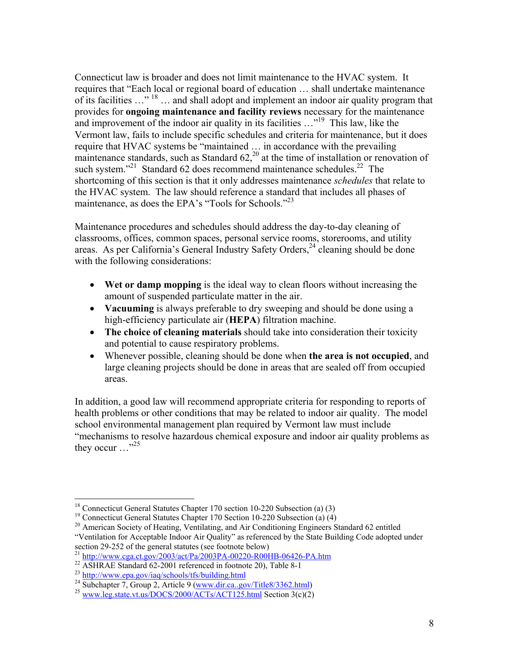Connecticut law is broader and does not limit maintenance to the HVAC system. It requires that "Each local or regional board of education … shall undertake maintenance of its facilities …" 18 … and shall adopt and implement an indoor air quality program that provides for **ongoing maintenance and facility reviews** necessary for the maintenance and improvement of the indoor air quality in its facilities ..."<sup>19</sup> This law, like the Vermont law, fails to include specific schedules and criteria for maintenance, but it does require that HVAC systems be "maintained … in accordance with the prevailing maintenance standards, such as Standard  $62<sup>20</sup>$  at the time of installation or renovation of such system."<sup>21</sup> Standard 62 does recommend maintenance schedules.<sup>22</sup> The shortcoming of this section is that it only addresses maintenance *schedules* that relate to the HVAC system. The law should reference a standard that includes all phases of maintenance, as does the EPA's "Tools for Schools."<sup>23</sup>

Maintenance procedures and schedules should address the day-to-day cleaning of classrooms, offices, common spaces, personal service rooms, storerooms, and utility areas. As per California's General Industry Safety Orders,<sup>24</sup> cleaning should be done with the following considerations:

- **Wet or damp mopping** is the ideal way to clean floors without increasing the amount of suspended particulate matter in the air.
- **Vacuuming** is always preferable to dry sweeping and should be done using a high-efficiency particulate air (**HEPA**) filtration machine.
- **The choice of cleaning materials** should take into consideration their toxicity and potential to cause respiratory problems.
- Whenever possible, cleaning should be done when **the area is not occupied**, and large cleaning projects should be done in areas that are sealed off from occupied areas.

In addition, a good law will recommend appropriate criteria for responding to reports of health problems or other conditions that may be related to indoor air quality. The model school environmental management plan required by Vermont law must include "mechanisms to resolve hazardous chemical exposure and indoor air quality problems as they occur  $\ldots$ <sup>"25</sup>

<sup>&</sup>lt;sup>18</sup> Connecticut General Statutes Chapter 170 section 10-220 Subsection (a) (3)

<sup>&</sup>lt;sup>19</sup> Connecticut General Statutes Chapter 170 Section 10-220 Subsection (a) (4)

<sup>&</sup>lt;sup>20</sup> American Society of Heating, Ventilating, and Air Conditioning Engineers Standard 62 entitled "Ventilation for Acceptable Indoor Air Quality" as referenced by the State Building Code adopted under section 29-252 of the general statutes (see footnote below)

<sup>21</sup> http://www.cga.ct.gov/2003/act/Pa/2003PA-00220-R00HB-06426-PA.htm 22 ASHRAE Standard 62-2001 referenced in footnote 20), Table 8-1<br>23 http://www.epa.gov/iaq/schools/tfs/building.html

<sup>&</sup>lt;sup>24</sup> Subchapter 7, Group 2, Article 9 (www.dir.ca..gov/Title8/3362.html)<br><sup>25</sup> www.leg.state.vt.us/DOCS/2000/ACTs/ACT125.html Section 3(c)(2)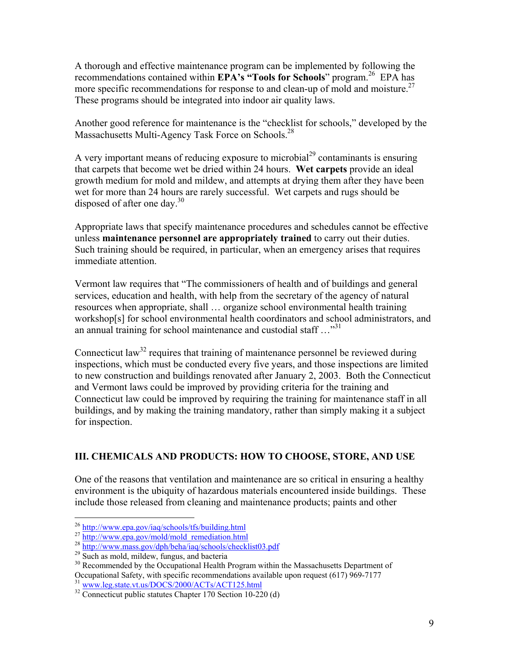A thorough and effective maintenance program can be implemented by following the recommendations contained within **EPA's "Tools for Schools**" program.26 EPA has more specific recommendations for response to and clean-up of mold and moisture.<sup>27</sup> These programs should be integrated into indoor air quality laws.

Another good reference for maintenance is the "checklist for schools," developed by the Massachusetts Multi-Agency Task Force on Schools.<sup>28</sup>

A very important means of reducing exposure to microbial<sup>29</sup> contaminants is ensuring that carpets that become wet be dried within 24 hours. **Wet carpets** provide an ideal growth medium for mold and mildew, and attempts at drying them after they have been wet for more than 24 hours are rarely successful. Wet carpets and rugs should be disposed of after one day.<sup>30</sup>

Appropriate laws that specify maintenance procedures and schedules cannot be effective unless **maintenance personnel are appropriately trained** to carry out their duties. Such training should be required, in particular, when an emergency arises that requires immediate attention.

Vermont law requires that "The commissioners of health and of buildings and general services, education and health, with help from the secretary of the agency of natural resources when appropriate, shall … organize school environmental health training workshop[s] for school environmental health coordinators and school administrators, and an annual training for school maintenance and custodial staff ..."<sup>31</sup>

Connecticut law<sup>32</sup> requires that training of maintenance personnel be reviewed during inspections, which must be conducted every five years, and those inspections are limited to new construction and buildings renovated after January 2, 2003. Both the Connecticut and Vermont laws could be improved by providing criteria for the training and Connecticut law could be improved by requiring the training for maintenance staff in all buildings, and by making the training mandatory, rather than simply making it a subject for inspection.

## **III. CHEMICALS AND PRODUCTS: HOW TO CHOOSE, STORE, AND USE**

One of the reasons that ventilation and maintenance are so critical in ensuring a healthy environment is the ubiquity of hazardous materials encountered inside buildings. These include those released from cleaning and maintenance products; paints and other

 $30$  Recommended by the Occupational Health Program within the Massachusetts Department of Occupational Safety, with specific recommendations available upon request (617) 969-7177

 $\frac{31}{32}$  www.leg.state.vt.us/DOCS/2000/ACTs/ACT125.html<br> $\frac{32}{32}$  Connecticut public statutes Chapter 170 Section 10-220 (d)

<sup>&</sup>lt;sup>26</sup> http://www.epa.gov/iaq/schools/tfs/building.html

<sup>&</sup>lt;sup>27</sup> http://www.epa.gov/mold/mold\_remediation.html<br><sup>28</sup> http://www.mass.gov/dph/beha/iaq/schools/checklist03.pdf <sup>29</sup> Such as mold, mildew, fungus, and bacteria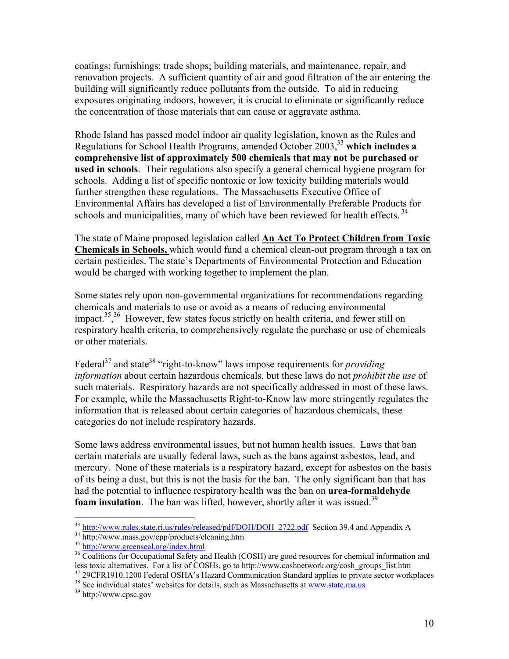coatings; furnishings; trade shops; building materials, and maintenance, repair, and renovation projects. A sufficient quantity of air and good filtration of the air entering the building will significantly reduce pollutants from the outside. To aid in reducing exposures originating indoors, however, it is crucial to eliminate or significantly reduce the concentration of those materials that can cause or aggravate asthma.

Rhode Island has passed model indoor air quality legislation, known as the Rules and Regulations for School Health Programs, amended October 2003,33 **which includes a comprehensive list of approximately 500 chemicals that may not be purchased or used in schools**. Their regulations also specify a general chemical hygiene program for schools. Adding a list of specific nontoxic or low toxicity building materials would further strengthen these regulations. The Massachusetts Executive Office of Environmental Affairs has developed a list of Environmentally Preferable Products for schools and municipalities, many of which have been reviewed for health effects.<sup>34</sup>

The state of Maine proposed legislation called **An Act To Protect Children from Toxic Chemicals in Schools,** which would fund a chemical clean-out program through a tax on certain pesticides. The state's Departments of Environmental Protection and Education would be charged with working together to implement the plan.

Some states rely upon non-governmental organizations for recommendations regarding chemicals and materials to use or avoid as a means of reducing environmental impact.<sup>35</sup>,<sup>36</sup> However, few states focus strictly on health criteria, and fewer still on respiratory health criteria, to comprehensively regulate the purchase or use of chemicals or other materials.

Federal<sup>37</sup> and state<sup>38</sup> "right-to-know" laws impose requirements for *providing information* about certain hazardous chemicals, but these laws do not *prohibit the use* of such materials. Respiratory hazards are not specifically addressed in most of these laws. For example, while the Massachusetts Right-to-Know law more stringently regulates the information that is released about certain categories of hazardous chemicals, these categories do not include respiratory hazards.

Some laws address environmental issues, but not human health issues. Laws that ban certain materials are usually federal laws, such as the bans against asbestos, lead, and mercury. None of these materials is a respiratory hazard, except for asbestos on the basis of its being a dust, but this is not the basis for the ban. The only significant ban that has had the potential to influence respiratory health was the ban on **urea-formaldehyde foam insulation**. The ban was lifted, however, shortly after it was issued.<sup>39</sup>

 $^{33}$  http://www.rules.state.ri.us/rules/released/pdf/DOH/DOH\_2722.pdf Section 39.4 and Appendix A  $^{34}$  http://www.mass.gov/epp/products/cleaning.htm

 $\frac{35 \text{ http://www.greensed.org/index.html}}{36 \text{ Conditions for Occupational Safety and Health (COSH) are good resources for chemical information and less toxic alternatives. For a list of COSHs, go to <http://www.coshnetwork.org/cosh groups1ist.html>$ 

<sup>&</sup>lt;sup>37</sup> 29CFR1910.1200 Federal OSHA's Hazard Communication Standard applies to private sector workplaces <sup>38</sup> See individual states' websites for details, such as Massachusetts at  $\frac{www.state.ma.us}{www.state.ma.us}$ <sup>39</sup> http://www.cpsc.gov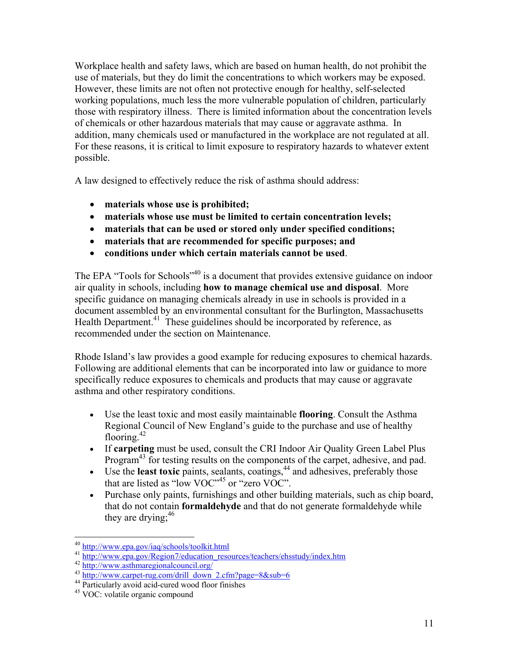Workplace health and safety laws, which are based on human health, do not prohibit the use of materials, but they do limit the concentrations to which workers may be exposed. However, these limits are not often not protective enough for healthy, self-selected working populations, much less the more vulnerable population of children, particularly those with respiratory illness. There is limited information about the concentration levels of chemicals or other hazardous materials that may cause or aggravate asthma. In addition, many chemicals used or manufactured in the workplace are not regulated at all. For these reasons, it is critical to limit exposure to respiratory hazards to whatever extent possible.

A law designed to effectively reduce the risk of asthma should address:

- **materials whose use is prohibited;**
- **materials whose use must be limited to certain concentration levels;**
- **materials that can be used or stored only under specified conditions;**
- **materials that are recommended for specific purposes; and**
- **conditions under which certain materials cannot be used**.

The EPA "Tools for Schools"<sup>40</sup> is a document that provides extensive guidance on indoor air quality in schools, including **how to manage chemical use and disposal**. More specific guidance on managing chemicals already in use in schools is provided in a document assembled by an environmental consultant for the Burlington, Massachusetts Health Department.<sup>41</sup> These guidelines should be incorporated by reference, as recommended under the section on Maintenance.

Rhode Island's law provides a good example for reducing exposures to chemical hazards. Following are additional elements that can be incorporated into law or guidance to more specifically reduce exposures to chemicals and products that may cause or aggravate asthma and other respiratory conditions.

- Use the least toxic and most easily maintainable **flooring**. Consult the Asthma Regional Council of New England's guide to the purchase and use of healthy flooring. $42$
- If **carpeting** must be used, consult the CRI Indoor Air Quality Green Label Plus Program<sup>43</sup> for testing results on the components of the carpet, adhesive, and pad.
- Use the **least toxic** paints, sealants, coatings,<sup>44</sup> and adhesives, preferably those that are listed as "low  $VOC^{45}$  or "zero  $VOC$ ".
- Purchase only paints, furnishings and other building materials, such as chip board, that do not contain **formaldehyde** and that do not generate formaldehyde while they are drying;  $46$

<sup>&</sup>lt;sup>40</sup> http://www.epa.gov/iaq/schools/toolkit.html

<sup>41&</sup>lt;br>http://www.epa.gov/Region7/education\_resources/teachers/ehsstudy/index.htm<br>42<br>http://www.asthmaregionalcouncil.org/<br>43<br>http://www.carpet-rug.com/drill\_down\_2.cfm?page=8&sub=6<br>44<br>Particularly avoid acid-cured wood floor

<sup>45</sup> VOC: volatile organic compound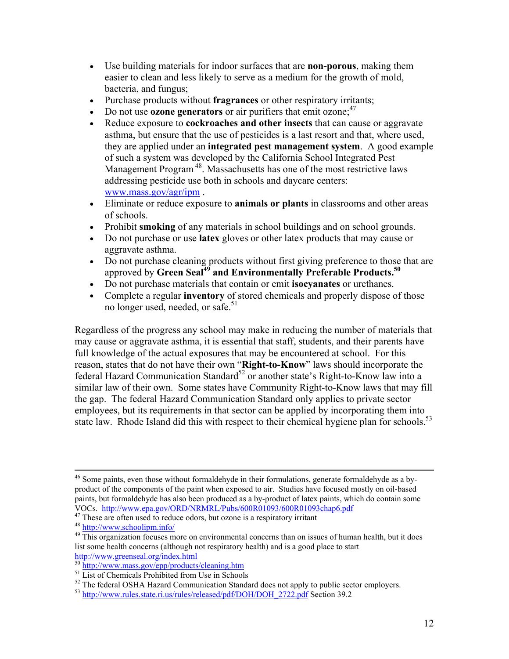- Use building materials for indoor surfaces that are **non-porous**, making them easier to clean and less likely to serve as a medium for the growth of mold, bacteria, and fungus;
- Purchase products without **fragrances** or other respiratory irritants;
- **Do not use <b>ozone generators** or air purifiers that emit ozone:<sup>47</sup>
- Reduce exposure to **cockroaches and other insects** that can cause or aggravate asthma, but ensure that the use of pesticides is a last resort and that, where used, they are applied under an **integrated pest management system**. A good example of such a system was developed by the California School Integrated Pest Management Program<sup>48</sup>. Massachusetts has one of the most restrictive laws addressing pesticide use both in schools and daycare centers: www.mass.gov/agr/ipm .
- Eliminate or reduce exposure to **animals or plants** in classrooms and other areas of schools.
- Prohibit **smoking** of any materials in school buildings and on school grounds.
- Do not purchase or use **latex** gloves or other latex products that may cause or aggravate asthma.
- Do not purchase cleaning products without first giving preference to those that are approved by Green Seal<sup>49</sup> and Environmentally Preferable Products.<sup>50</sup>
- Do not purchase materials that contain or emit **isocyanates** or urethanes.
- Complete a regular **inventory** of stored chemicals and properly dispose of those no longer used, needed, or safe.<sup>51</sup>

Regardless of the progress any school may make in reducing the number of materials that may cause or aggravate asthma, it is essential that staff, students, and their parents have full knowledge of the actual exposures that may be encountered at school. For this reason, states that do not have their own "**Right-to-Know**" laws should incorporate the federal Hazard Communication Standard<sup>52</sup> or another state's Right-to-Know law into a similar law of their own. Some states have Community Right-to-Know laws that may fill the gap. The federal Hazard Communication Standard only applies to private sector employees, but its requirements in that sector can be applied by incorporating them into state law. Rhode Island did this with respect to their chemical hygiene plan for schools.<sup>53</sup>

<sup>&</sup>lt;sup>46</sup> Some paints, even those without formaldehyde in their formulations, generate formaldehyde as a byproduct of the components of the paint when exposed to air. Studies have focused mostly on oil-based paints, but formaldehyde has also been produced as a by-product of latex paints, which do contain some VOCs. http://www.epa.gov/ORD/NRMRL/Pubs/600R01093/600R01093chap6.pdf

<sup>&</sup>lt;sup>47</sup> These are often used to reduce odors, but ozone is a respiratory irritant <sup>48</sup> http://www.schoolipm.info/

 $49$  This organization focuses more on environmental concerns than on issues of human health, but it does list some health concerns (although not respiratory health) and is a good place to start

http://www.greenseal.org/index.html<br>
<sup>50</sup> http://www.mass.gov/epp/products/cleaning.htm<br>
<sup>51</sup> List of Chemicals Prohibited from Use in Schools

<sup>&</sup>lt;sup>52</sup> The federal OSHA Hazard Communication Standard does not apply to public sector employers.<br><sup>53</sup> http://www.rules.state.ri.us/rules/released/pdf/DOH/DOH\_2722.pdf Section 39.2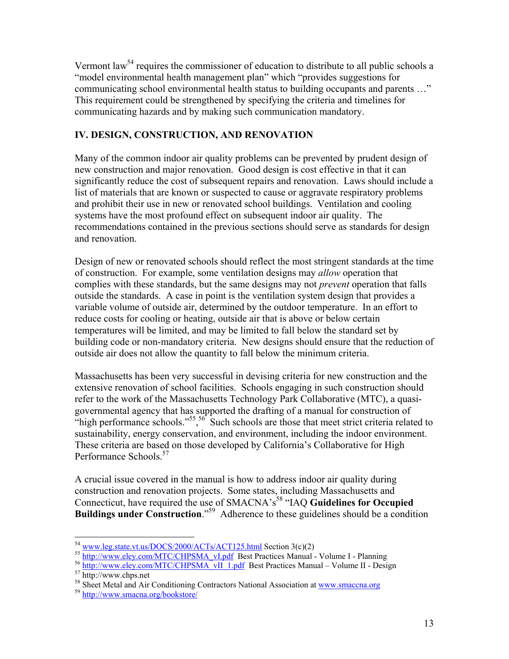Vermont law<sup>54</sup> requires the commissioner of education to distribute to all public schools a "model environmental health management plan" which "provides suggestions for communicating school environmental health status to building occupants and parents …" This requirement could be strengthened by specifying the criteria and timelines for communicating hazards and by making such communication mandatory.

## **IV. DESIGN, CONSTRUCTION, AND RENOVATION**

Many of the common indoor air quality problems can be prevented by prudent design of new construction and major renovation. Good design is cost effective in that it can significantly reduce the cost of subsequent repairs and renovation. Laws should include a list of materials that are known or suspected to cause or aggravate respiratory problems and prohibit their use in new or renovated school buildings. Ventilation and cooling systems have the most profound effect on subsequent indoor air quality. The recommendations contained in the previous sections should serve as standards for design and renovation.

Design of new or renovated schools should reflect the most stringent standards at the time of construction. For example, some ventilation designs may *allow* operation that complies with these standards, but the same designs may not *prevent* operation that falls outside the standards. A case in point is the ventilation system design that provides a variable volume of outside air, determined by the outdoor temperature. In an effort to reduce costs for cooling or heating, outside air that is above or below certain temperatures will be limited, and may be limited to fall below the standard set by building code or non-mandatory criteria. New designs should ensure that the reduction of outside air does not allow the quantity to fall below the minimum criteria.

Massachusetts has been very successful in devising criteria for new construction and the extensive renovation of school facilities. Schools engaging in such construction should refer to the work of the Massachusetts Technology Park Collaborative (MTC), a quasigovernmental agency that has supported the drafting of a manual for construction of "high performance schools."<sup>55, 56</sup> Such schools are those that meet strict criteria related to sustainability, energy conservation, and environment, including the indoor environment. These criteria are based on those developed by California's Collaborative for High Performance Schools.<sup>57</sup>

A crucial issue covered in the manual is how to address indoor air quality during construction and renovation projects. Some states, including Massachusetts and Connecticut, have required the use of SMACNA's<sup>58</sup> "IAQ **Guidelines for Occupied Buildings under Construction.**"<sup>59</sup> Adherence to these guidelines should be a condition

 $54$  www.leg.state.vt.us/DOCS/2000/ACTs/ACT125.html Section 3(c)(2)

 $55 \frac{\text{http://www.eley.com/MTC/CHPSMA_vII_1.pdf}}{\text{http://www.eley.com/MTC/CHPSMA_vII_1.pdf}}$ <br>  $56 \frac{\text{http://www.eley.com/MTC/CHPSMA_vII_1.pdf}}{\text{http://www.eley.com/MTC/CHPSMA_vII_1.pdf}}$ <br>  $57 \frac{\text{http://www.eley.com/MTC/CHPSMA_vII_1.pdf}}{\text{http://www.chps.net}}$ 

<sup>&</sup>lt;sup>58</sup> Sheet Metal and Air Conditioning Contractors National Association at www.smaccna.org<br><sup>59</sup> http://www.smacna.org/bookstore/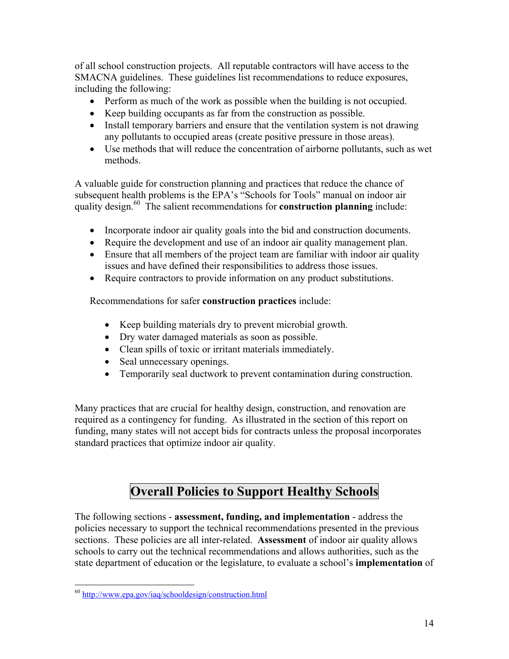of all school construction projects. All reputable contractors will have access to the SMACNA guidelines. These guidelines list recommendations to reduce exposures, including the following:

- Perform as much of the work as possible when the building is not occupied.
- Keep building occupants as far from the construction as possible.
- Install temporary barriers and ensure that the ventilation system is not drawing any pollutants to occupied areas (create positive pressure in those areas).
- Use methods that will reduce the concentration of airborne pollutants, such as wet methods.

A valuable guide for construction planning and practices that reduce the chance of subsequent health problems is the EPA's "Schools for Tools" manual on indoor air quality design.60 The salient recommendations for **construction planning** include:

- Incorporate indoor air quality goals into the bid and construction documents.
- Require the development and use of an indoor air quality management plan.
- Ensure that all members of the project team are familiar with indoor air quality issues and have defined their responsibilities to address those issues.
- Require contractors to provide information on any product substitutions.

Recommendations for safer **construction practices** include:

- Keep building materials dry to prevent microbial growth.
- Dry water damaged materials as soon as possible.
- Clean spills of toxic or irritant materials immediately.
- Seal unnecessary openings.
- Temporarily seal ductwork to prevent contamination during construction.

Many practices that are crucial for healthy design, construction, and renovation are required as a contingency for funding. As illustrated in the section of this report on funding, many states will not accept bids for contracts unless the proposal incorporates standard practices that optimize indoor air quality.

# **Overall Policies to Support Healthy Schools**

The following sections - **assessment, funding, and implementation** - address the policies necessary to support the technical recommendations presented in the previous sections. These policies are all inter-related. **Assessment** of indoor air quality allows schools to carry out the technical recommendations and allows authorities, such as the state department of education or the legislature, to evaluate a school's **implementation** of

 $\overline{a}$ <sup>60</sup> http://www.epa.gov/iaq/schooldesign/construction.html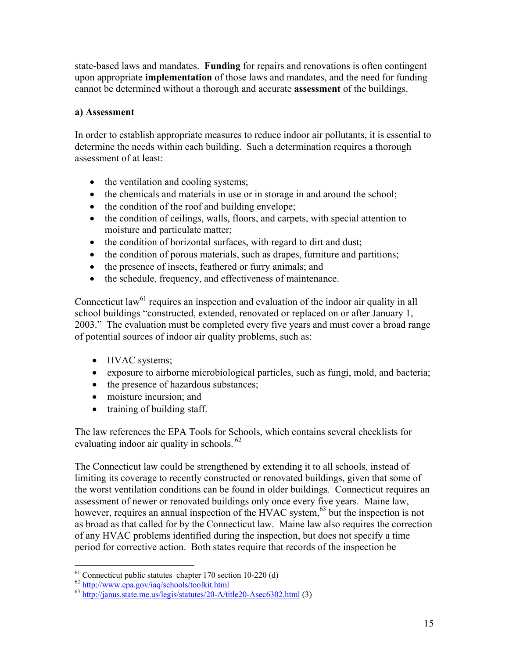state-based laws and mandates. **Funding** for repairs and renovations is often contingent upon appropriate **implementation** of those laws and mandates, and the need for funding cannot be determined without a thorough and accurate **assessment** of the buildings.

## **a) Assessment**

In order to establish appropriate measures to reduce indoor air pollutants, it is essential to determine the needs within each building. Such a determination requires a thorough assessment of at least:

- the ventilation and cooling systems;
- the chemicals and materials in use or in storage in and around the school;
- the condition of the roof and building envelope;
- the condition of ceilings, walls, floors, and carpets, with special attention to moisture and particulate matter;
- the condition of horizontal surfaces, with regard to dirt and dust;
- the condition of porous materials, such as drapes, furniture and partitions;
- the presence of insects, feathered or furry animals; and
- the schedule, frequency, and effectiveness of maintenance.

Connecticut law<sup>61</sup> requires an inspection and evaluation of the indoor air quality in all school buildings "constructed, extended, renovated or replaced on or after January 1, 2003." The evaluation must be completed every five years and must cover a broad range of potential sources of indoor air quality problems, such as:

- HVAC systems;
- exposure to airborne microbiological particles, such as fungi, mold, and bacteria;
- the presence of hazardous substances;
- moisture incursion; and
- training of building staff.

The law references the EPA Tools for Schools, which contains several checklists for evaluating indoor air quality in schools.<sup>62</sup>

The Connecticut law could be strengthened by extending it to all schools, instead of limiting its coverage to recently constructed or renovated buildings, given that some of the worst ventilation conditions can be found in older buildings. Connecticut requires an assessment of newer or renovated buildings only once every five years. Maine law, however, requires an annual inspection of the HVAC system,<sup>63</sup> but the inspection is not as broad as that called for by the Connecticut law. Maine law also requires the correction of any HVAC problems identified during the inspection, but does not specify a time period for corrective action. Both states require that records of the inspection be

<sup>1</sup>  $61$  Connecticut public statutes chapter 170 section 10-220 (d)

 $\frac{62 \text{ http://www.epa.gov/iaq/schoolstoolkit.html}}{\text{http://janus.state.me.us/legis/statutes/20-A/title20-Asec6302.html}}$  (3)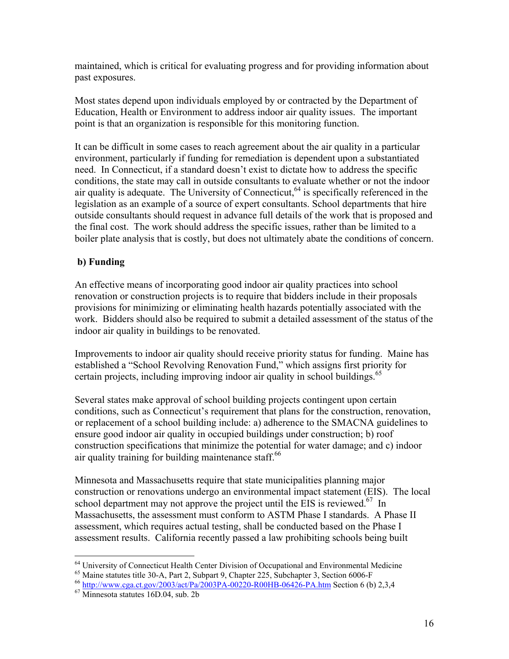maintained, which is critical for evaluating progress and for providing information about past exposures.

Most states depend upon individuals employed by or contracted by the Department of Education, Health or Environment to address indoor air quality issues. The important point is that an organization is responsible for this monitoring function.

It can be difficult in some cases to reach agreement about the air quality in a particular environment, particularly if funding for remediation is dependent upon a substantiated need. In Connecticut, if a standard doesn't exist to dictate how to address the specific conditions, the state may call in outside consultants to evaluate whether or not the indoor air quality is adequate. The University of Connecticut,<sup>64</sup> is specifically referenced in the legislation as an example of a source of expert consultants. School departments that hire outside consultants should request in advance full details of the work that is proposed and the final cost. The work should address the specific issues, rather than be limited to a boiler plate analysis that is costly, but does not ultimately abate the conditions of concern.

## **b) Funding**

An effective means of incorporating good indoor air quality practices into school renovation or construction projects is to require that bidders include in their proposals provisions for minimizing or eliminating health hazards potentially associated with the work. Bidders should also be required to submit a detailed assessment of the status of the indoor air quality in buildings to be renovated.

Improvements to indoor air quality should receive priority status for funding. Maine has established a "School Revolving Renovation Fund," which assigns first priority for certain projects, including improving indoor air quality in school buildings.<sup>65</sup>

Several states make approval of school building projects contingent upon certain conditions, such as Connecticut's requirement that plans for the construction, renovation, or replacement of a school building include: a) adherence to the SMACNA guidelines to ensure good indoor air quality in occupied buildings under construction; b) roof construction specifications that minimize the potential for water damage; and c) indoor air quality training for building maintenance staff. $66$ 

Minnesota and Massachusetts require that state municipalities planning major construction or renovations undergo an environmental impact statement (EIS). The local school department may not approve the project until the EIS is reviewed.<sup>67</sup> In Massachusetts, the assessment must conform to ASTM Phase I standards. A Phase II assessment, which requires actual testing, shall be conducted based on the Phase I assessment results. California recently passed a law prohibiting schools being built

<sup>&</sup>lt;sup>64</sup> University of Connecticut Health Center Division of Occupational and Environmental Medicine 65 Maine statutes title 30-A, Part 2, Subpart 9, Chapter 225, Subchapter 3, Section 6006-F

 $^{66}$  http://www.cga.ct.gov/2003/act/Pa/2003PA-00220-R00HB-06426-PA.htm Section 6 (b) 2,3,4<br>  $^{67}$  Minnesota statutes 16D.04, sub. 2b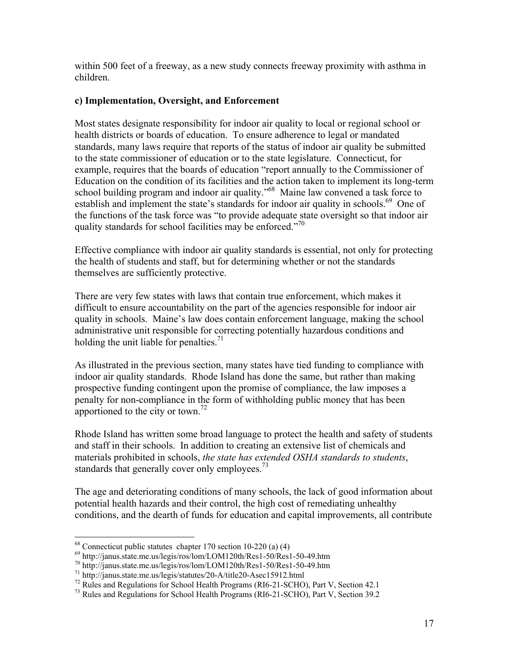within 500 feet of a freeway, as a new study connects freeway proximity with asthma in children.

### **c) Implementation, Oversight, and Enforcement**

Most states designate responsibility for indoor air quality to local or regional school or health districts or boards of education. To ensure adherence to legal or mandated standards, many laws require that reports of the status of indoor air quality be submitted to the state commissioner of education or to the state legislature. Connecticut, for example, requires that the boards of education "report annually to the Commissioner of Education on the condition of its facilities and the action taken to implement its long-term school building program and indoor air quality."<sup>68</sup> Maine law convened a task force to establish and implement the state's standards for indoor air quality in schools.<sup>69</sup> One of the functions of the task force was "to provide adequate state oversight so that indoor air quality standards for school facilities may be enforced."<sup>70</sup>

Effective compliance with indoor air quality standards is essential, not only for protecting the health of students and staff, but for determining whether or not the standards themselves are sufficiently protective.

There are very few states with laws that contain true enforcement, which makes it difficult to ensure accountability on the part of the agencies responsible for indoor air quality in schools. Maine's law does contain enforcement language, making the school administrative unit responsible for correcting potentially hazardous conditions and holding the unit liable for penalties.<sup>71</sup>

As illustrated in the previous section, many states have tied funding to compliance with indoor air quality standards. Rhode Island has done the same, but rather than making prospective funding contingent upon the promise of compliance, the law imposes a penalty for non-compliance in the form of withholding public money that has been apportioned to the city or town.<sup>72</sup>

Rhode Island has written some broad language to protect the health and safety of students and staff in their schools. In addition to creating an extensive list of chemicals and materials prohibited in schools, *the state has extended OSHA standards to students*, standards that generally cover only employees.<sup>73</sup>

The age and deteriorating conditions of many schools, the lack of good information about potential health hazards and their control, the high cost of remediating unhealthy conditions, and the dearth of funds for education and capital improvements, all contribute

 $\overline{a}$  $68$  Connecticut public statutes chapter 170 section 10-220 (a) (4)

<sup>&</sup>lt;sup>69</sup> http://janus.state.me.us/legis/ros/lom/LOM120th/Res1-50/Res1-50-49.htm 70 http://janus.state.me.us/legis/ros/lom/LOM120th/Res1-50/Res1-50-49.htm 71 http://janus.state.me.us/legis/statutes/20-A/title20-Asec15912.html

 $72$  Rules and Regulations for School Health Programs (RI6-21-SCHO), Part V, Section 42.1

 $^{73}$  Rules and Regulations for School Health Programs (RI6-21-SCHO), Part V, Section 39.2